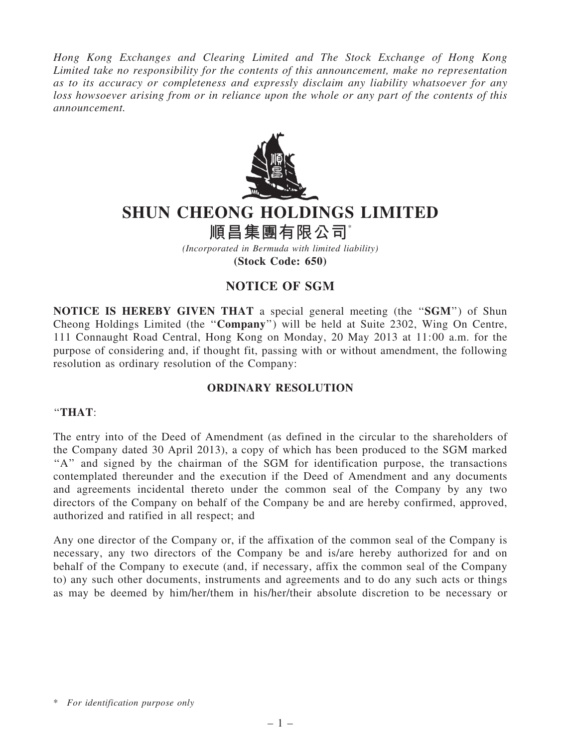*Hong Kong Exchanges and Clearing Limited and The Stock Exchange of Hong Kong Limited take no responsibility for the contents of this announcement, make no representation as to its accuracy or completeness and expressly disclaim any liability whatsoever for any loss howsoever arising from or in reliance upon the whole or any part of the contents of this announcement.*



# SHUN CHEONG HOLDINGS LIMITED

## 順昌集團有限公司\*

*(Incorporated in Bermuda with limited liability)* (Stock Code: 650)

## NOTICE OF SGM

NOTICE IS HEREBY GIVEN THAT a special general meeting (the "SGM") of Shun Cheong Holdings Limited (the ''Company'') will be held at Suite 2302, Wing On Centre, 111 Connaught Road Central, Hong Kong on Monday, 20 May 2013 at 11:00 a.m. for the purpose of considering and, if thought fit, passing with or without amendment, the following resolution as ordinary resolution of the Company:

### ORDINARY RESOLUTION

#### ''THAT:

The entry into of the Deed of Amendment (as defined in the circular to the shareholders of the Company dated 30 April 2013), a copy of which has been produced to the SGM marked "A" and signed by the chairman of the SGM for identification purpose, the transactions contemplated thereunder and the execution if the Deed of Amendment and any documents and agreements incidental thereto under the common seal of the Company by any two directors of the Company on behalf of the Company be and are hereby confirmed, approved, authorized and ratified in all respect; and

Any one director of the Company or, if the affixation of the common seal of the Company is necessary, any two directors of the Company be and is/are hereby authorized for and on behalf of the Company to execute (and, if necessary, affix the common seal of the Company to) any such other documents, instruments and agreements and to do any such acts or things as may be deemed by him/her/them in his/her/their absolute discretion to be necessary or

<sup>\*</sup> *For identification purpose only*